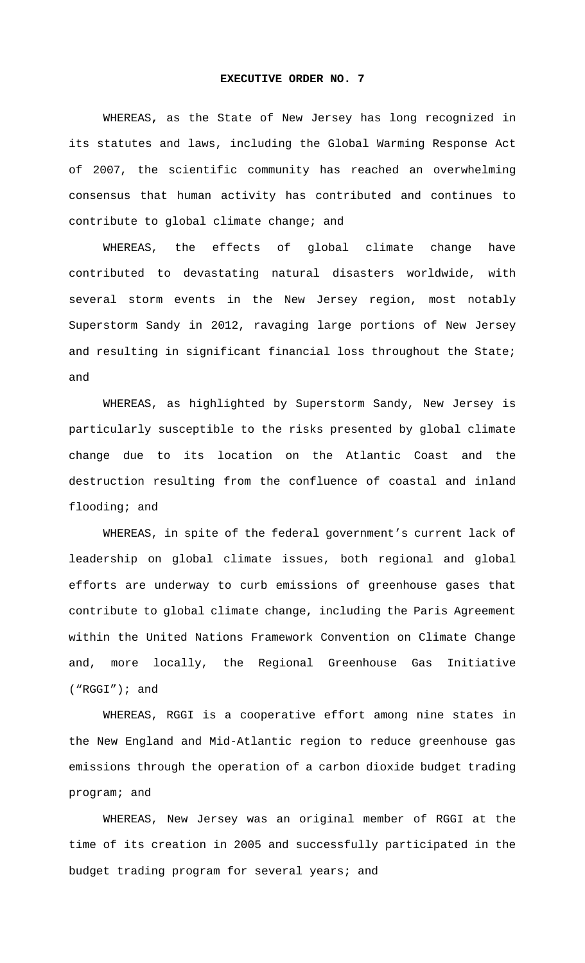## **EXECUTIVE ORDER NO. 7**

WHEREAS**,** as the State of New Jersey has long recognized in its statutes and laws, including the Global Warming Response Act of 2007, the scientific community has reached an overwhelming consensus that human activity has contributed and continues to contribute to global climate change; and

WHEREAS, the effects of global climate change have contributed to devastating natural disasters worldwide, with several storm events in the New Jersey region, most notably Superstorm Sandy in 2012, ravaging large portions of New Jersey and resulting in significant financial loss throughout the State; and

WHEREAS, as highlighted by Superstorm Sandy, New Jersey is particularly susceptible to the risks presented by global climate change due to its location on the Atlantic Coast and the destruction resulting from the confluence of coastal and inland flooding; and

WHEREAS, in spite of the federal government's current lack of leadership on global climate issues, both regional and global efforts are underway to curb emissions of greenhouse gases that contribute to global climate change, including the Paris Agreement within the United Nations Framework Convention on Climate Change and, more locally, the Regional Greenhouse Gas Initiative ("RGGI"); and

WHEREAS, RGGI is a cooperative effort among nine states in the New England and Mid-Atlantic region to reduce greenhouse gas emissions through the operation of a carbon dioxide budget trading program; and

WHEREAS, New Jersey was an original member of RGGI at the time of its creation in 2005 and successfully participated in the budget trading program for several years; and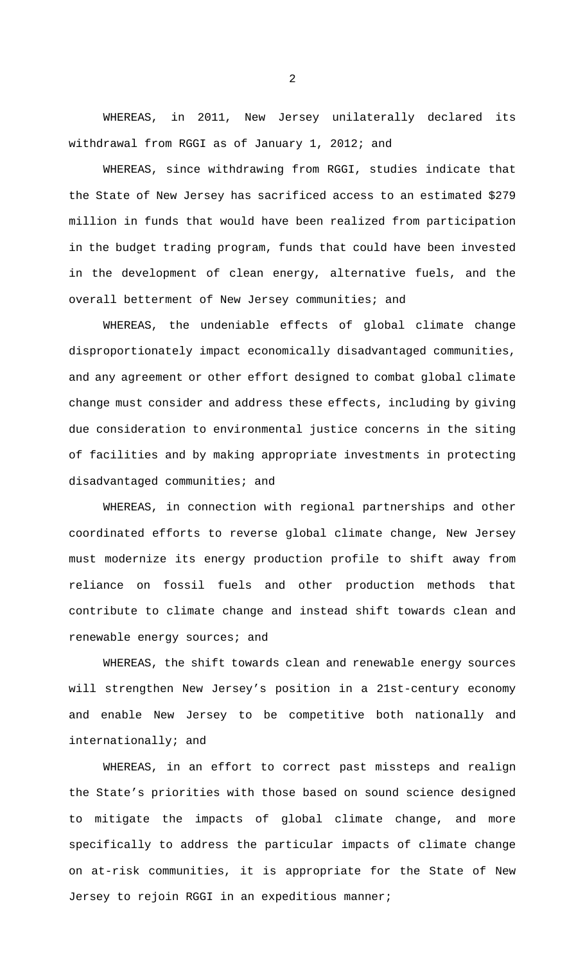WHEREAS, in 2011, New Jersey unilaterally declared its withdrawal from RGGI as of January 1, 2012; and

WHEREAS, since withdrawing from RGGI, studies indicate that the State of New Jersey has sacrificed access to an estimated \$279 million in funds that would have been realized from participation in the budget trading program, funds that could have been invested in the development of clean energy, alternative fuels, and the overall betterment of New Jersey communities; and

WHEREAS, the undeniable effects of global climate change disproportionately impact economically disadvantaged communities, and any agreement or other effort designed to combat global climate change must consider and address these effects, including by giving due consideration to environmental justice concerns in the siting of facilities and by making appropriate investments in protecting disadvantaged communities; and

WHEREAS, in connection with regional partnerships and other coordinated efforts to reverse global climate change, New Jersey must modernize its energy production profile to shift away from reliance on fossil fuels and other production methods that contribute to climate change and instead shift towards clean and renewable energy sources; and

WHEREAS, the shift towards clean and renewable energy sources will strengthen New Jersey's position in a 21st-century economy and enable New Jersey to be competitive both nationally and internationally; and

WHEREAS, in an effort to correct past missteps and realign the State's priorities with those based on sound science designed to mitigate the impacts of global climate change, and more specifically to address the particular impacts of climate change on at-risk communities, it is appropriate for the State of New Jersey to rejoin RGGI in an expeditious manner;

2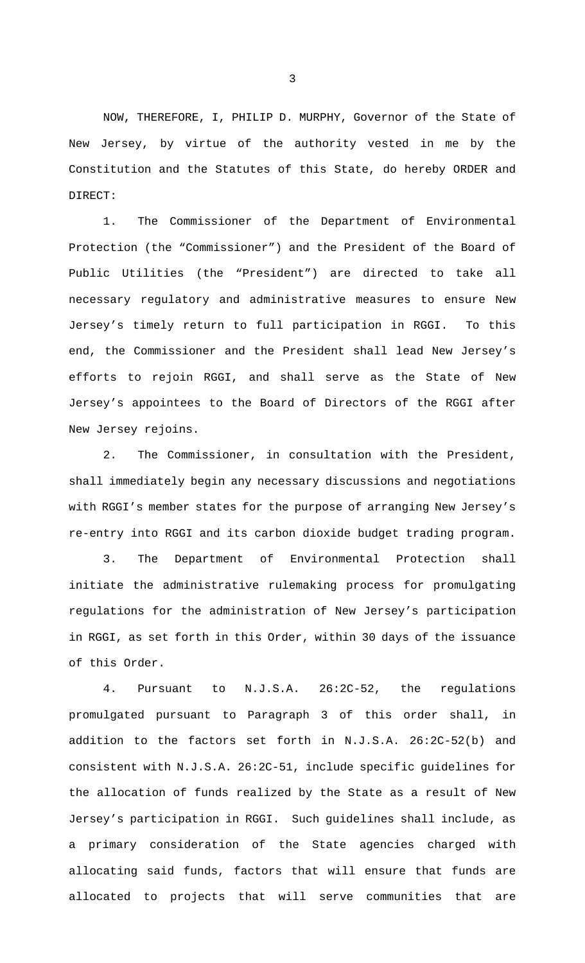NOW, THEREFORE, I, PHILIP D. MURPHY, Governor of the State of New Jersey, by virtue of the authority vested in me by the Constitution and the Statutes of this State, do hereby ORDER and DIRECT:

1. The Commissioner of the Department of Environmental Protection (the "Commissioner") and the President of the Board of Public Utilities (the "President") are directed to take all necessary regulatory and administrative measures to ensure New Jersey's timely return to full participation in RGGI. To this end, the Commissioner and the President shall lead New Jersey's efforts to rejoin RGGI, and shall serve as the State of New Jersey's appointees to the Board of Directors of the RGGI after New Jersey rejoins.

2. The Commissioner, in consultation with the President, shall immediately begin any necessary discussions and negotiations with RGGI's member states for the purpose of arranging New Jersey's re-entry into RGGI and its carbon dioxide budget trading program.

3. The Department of Environmental Protection shall initiate the administrative rulemaking process for promulgating regulations for the administration of New Jersey's participation in RGGI, as set forth in this Order, within 30 days of the issuance of this Order.

4. Pursuant to N.J.S.A. 26:2C-52, the regulations promulgated pursuant to Paragraph 3 of this order shall, in addition to the factors set forth in N.J.S.A. 26:2C-52(b) and consistent with N.J.S.A. 26:2C-51, include specific guidelines for the allocation of funds realized by the State as a result of New Jersey's participation in RGGI. Such guidelines shall include, as a primary consideration of the State agencies charged with allocating said funds, factors that will ensure that funds are allocated to projects that will serve communities that are

3